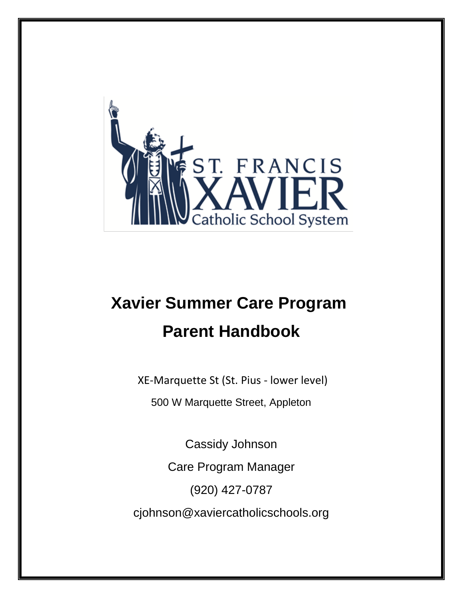

# **Xavier Summer Care Program Parent Handbook**

XE-Marquette St (St. Pius - lower level)

500 W Marquette Street, Appleton

Cassidy Johnson

Care Program Manager

(920) 427-0787

cjohnson@xaviercatholicschools.org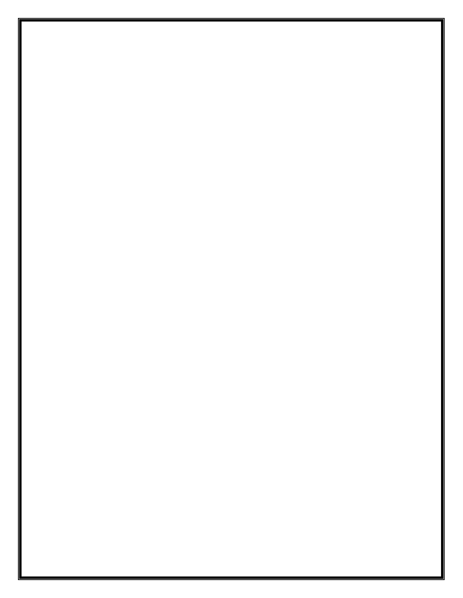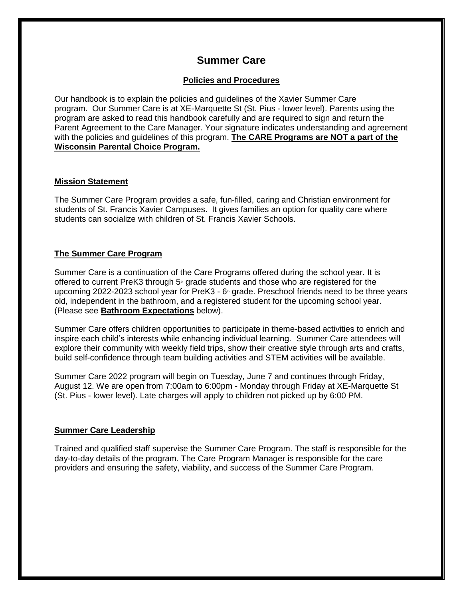### **Summer Care**

### **Policies and Procedures**

Our handbook is to explain the policies and guidelines of the Xavier Summer Care program. Our Summer Care is at XE-Marquette St (St. Pius - lower level). Parents using the program are asked to read this handbook carefully and are required to sign and return the Parent Agreement to the Care Manager. Your signature indicates understanding and agreement with the policies and guidelines of this program. **The CARE Programs are NOT a part of the Wisconsin Parental Choice Program.**

### **Mission Statement**

The Summer Care Program provides a safe, fun-filled, caring and Christian environment for students of St. Francis Xavier Campuses. It gives families an option for quality care where students can socialize with children of St. Francis Xavier Schools.

### **The Summer Care Program**

Summer Care is a continuation of the Care Programs offered during the school year. It is offered to current PreK3 through 5<sup>th</sup> grade students and those who are registered for the upcoming 2022-2023 school year for PreK3 -  $6<sup>*</sup>$  grade. Preschool friends need to be three years old, independent in the bathroom, and a registered student for the upcoming school year. (Please see **Bathroom Expectations** below).

Summer Care offers children opportunities to participate in theme-based activities to enrich and inspire each child's interests while enhancing individual learning. Summer Care attendees will explore their community with weekly field trips, show their creative style through arts and crafts, build self-confidence through team building activities and STEM activities will be available.

Summer Care 2022 program will begin on Tuesday, June 7 and continues through Friday, August 12. We are open from 7:00am to 6:00pm - Monday through Friday at XE-Marquette St (St. Pius - lower level). Late charges will apply to children not picked up by 6:00 PM.

### **Summer Care Leadership**

Trained and qualified staff supervise the Summer Care Program. The staff is responsible for the day-to-day details of the program. The Care Program Manager is responsible for the care providers and ensuring the safety, viability, and success of the Summer Care Program.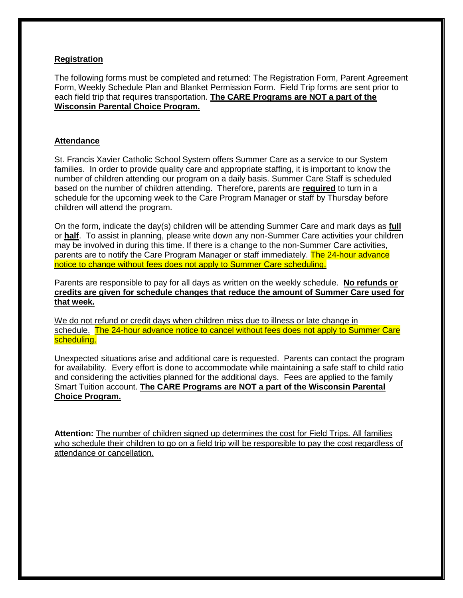### **Registration**

The following forms must be completed and returned: The Registration Form, Parent Agreement Form, Weekly Schedule Plan and Blanket Permission Form. Field Trip forms are sent prior to each field trip that requires transportation. **The CARE Programs are NOT a part of the Wisconsin Parental Choice Program.**

### **Attendance**

St. Francis Xavier Catholic School System offers Summer Care as a service to our System families. In order to provide quality care and appropriate staffing, it is important to know the number of children attending our program on a daily basis. Summer Care Staff is scheduled based on the number of children attending. Therefore, parents are **required** to turn in a schedule for the upcoming week to the Care Program Manager or staff by Thursday before children will attend the program.

On the form, indicate the day(s) children will be attending Summer Care and mark days as **full** or **half**. To assist in planning, please write down any non-Summer Care activities your children may be involved in during this time. If there is a change to the non-Summer Care activities, parents are to notify the Care Program Manager or staff immediately. The 24-hour advance notice to change without fees does not apply to Summer Care scheduling.

Parents are responsible to pay for all days as written on the weekly schedule. **No refunds or credits are given for schedule changes that reduce the amount of Summer Care used for that week.**

We do not refund or credit days when children miss due to illness or late change in schedule. The 24-hour advance notice to cancel without fees does not apply to Summer Care scheduling.

Unexpected situations arise and additional care is requested. Parents can contact the program for availability. Every effort is done to accommodate while maintaining a safe staff to child ratio and considering the activities planned for the additional days. Fees are applied to the family Smart Tuition account. **The CARE Programs are NOT a part of the Wisconsin Parental Choice Program.**

**Attention:** The number of children signed up determines the cost for Field Trips. All families who schedule their children to go on a field trip will be responsible to pay the cost regardless of attendance or cancellation.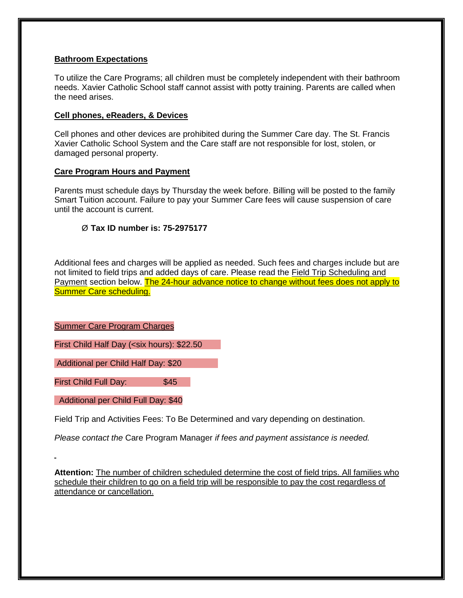### **Bathroom Expectations**

To utilize the Care Programs; all children must be completely independent with their bathroom needs. Xavier Catholic School staff cannot assist with potty training. Parents are called when the need arises.

### **Cell phones, eReaders, & Devices**

Cell phones and other devices are prohibited during the Summer Care day. The St. Francis Xavier Catholic School System and the Care staff are not responsible for lost, stolen, or damaged personal property.

### **Care Program Hours and Payment**

Parents must schedule days by Thursday the week before. Billing will be posted to the family Smart Tuition account. Failure to pay your Summer Care fees will cause suspension of care until the account is current.

### Ø **Tax ID number is: 75-2975177**

Additional fees and charges will be applied as needed. Such fees and charges include but are not limited to field trips and added days of care. Please read the Field Trip Scheduling and Payment section below. The 24-hour advance notice to change without fees does not apply to Summer Care scheduling.

Summer Care Program Charges

First Child Half Day (<six hours): \$22.50

Additional per Child Half Day: \$20

First Child Full Day: \$45

Additional per Child Full Day: \$40

Field Trip and Activities Fees: To Be Determined and vary depending on destination.

*Please contact the* Care Program Manager *if fees and payment assistance is needed.*

**Attention:** The number of children scheduled determine the cost of field trips. All families who schedule their children to go on a field trip will be responsible to pay the cost regardless of attendance or cancellation.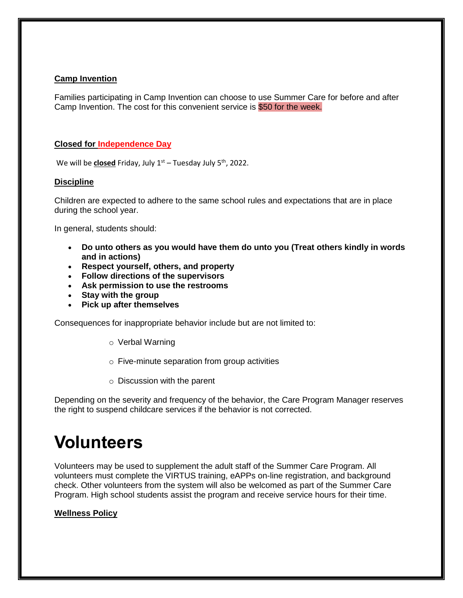### **Camp Invention**

Families participating in Camp Invention can choose to use Summer Care for before and after Camp Invention. The cost for this convenient service is \$50 for the week.

### **Closed for Independence Day**

We will be **closed** Friday, July 1<sup>st</sup> – Tuesday July 5<sup>th</sup>, 2022.

### **Discipline**

Children are expected to adhere to the same school rules and expectations that are in place during the school year.

In general, students should:

- **Do unto others as you would have them do unto you (Treat others kindly in words and in actions)**
- **Respect yourself, others, and property**
- **Follow directions of the supervisors**
- **Ask permission to use the restrooms**
- **Stay with the group**
- **Pick up after themselves**

Consequences for inappropriate behavior include but are not limited to:

- o Verbal Warning
- o Five-minute separation from group activities
- $\circ$  Discussion with the parent

Depending on the severity and frequency of the behavior, the Care Program Manager reserves the right to suspend childcare services if the behavior is not corrected.

## **Volunteers**

Volunteers may be used to supplement the adult staff of the Summer Care Program. All volunteers must complete the VIRTUS training, eAPPs on-line registration, and background check. Other volunteers from the system will also be welcomed as part of the Summer Care Program. High school students assist the program and receive service hours for their time.

### **Wellness Policy**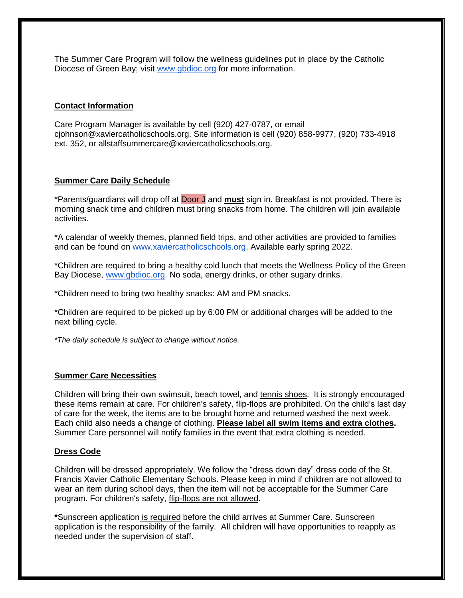The Summer Care Program will follow the wellness guidelines put in place by the Catholic Diocese of Green Bay; visit [www.gbdioc.org](http://www.gbdioc.org/) for more information.

### **Contact Information**

Care Program Manager is available by cell (920) 427-0787, or email cjohnson@xaviercatholicschools.org. Site information is cell (920) 858-9977, (920) 733-4918 ext. 352, or allstaffsummercare@xaviercatholicschools.org.

### **Summer Care Daily Schedule**

\*Parents/guardians will drop off at Door J and **must** sign in. Breakfast is not provided. There is morning snack time and children must bring snacks from home. The children will join available activities.

\*A calendar of weekly themes, planned field trips, and other activities are provided to families and can be found on [www.xaviercatholicschools.org.](http://www.xaviercatholicschools.org/) Available early spring 2022.

\*Children are required to bring a healthy cold lunch that meets the Wellness Policy of the Green Bay Diocese, [www.gbdioc.org.](http://www.gbdioc.org/) No soda, energy drinks, or other sugary drinks.

\*Children need to bring two healthy snacks: AM and PM snacks.

\*Children are required to be picked up by 6:00 PM or additional charges will be added to the next billing cycle.

*\*The daily schedule is subject to change without notice.*

### **Summer Care Necessities**

Children will bring their own swimsuit, beach towel, and tennis shoes. It is strongly encouraged these items remain at care. For children's safety, flip-flops are prohibited. On the child's last day of care for the week, the items are to be brought home and returned washed the next week. Each child also needs a change of clothing. **Please label all swim items and extra clothes.** Summer Care personnel will notify families in the event that extra clothing is needed.

### **Dress Code**

Children will be dressed appropriately. We follow the "dress down day" dress code of the St. Francis Xavier Catholic Elementary Schools. Please keep in mind if children are not allowed to wear an item during school days, then the item will not be acceptable for the Summer Care program. For children's safety, flip-flops are not allowed.

**\***Sunscreen application is required before the child arrives at Summer Care. Sunscreen application is the responsibility of the family. All children will have opportunities to reapply as needed under the supervision of staff.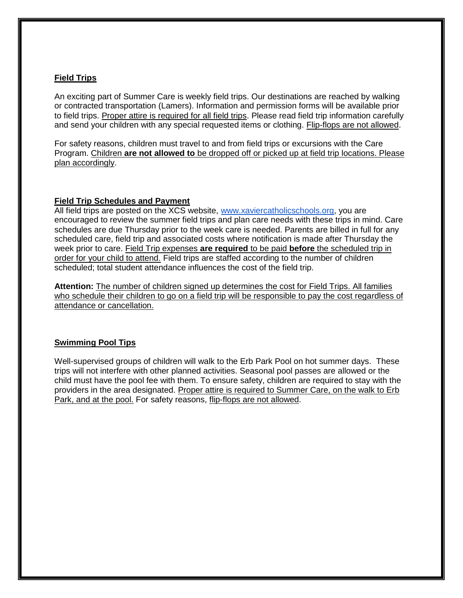### **Field Trips**

An exciting part of Summer Care is weekly field trips. Our destinations are reached by walking or contracted transportation (Lamers). Information and permission forms will be available prior to field trips. Proper attire is required for all field trips. Please read field trip information carefully and send your children with any special requested items or clothing. Flip-flops are not allowed.

For safety reasons, children must travel to and from field trips or excursions with the Care Program. Children **are not allowed to** be dropped off or picked up at field trip locations. Please plan accordingly.

### **Field Trip Schedules and Payment**

All field trips are posted on the XCS website, [www.xaviercatholicschools.org,](http://www.xaviercatholicschools.org/) you are encouraged to review the summer field trips and plan care needs with these trips in mind. Care schedules are due Thursday prior to the week care is needed. Parents are billed in full for any scheduled care, field trip and associated costs where notification is made after Thursday the week prior to care. Field Trip expenses **are required** to be paid **before** the scheduled trip in order for your child to attend. Field trips are staffed according to the number of children scheduled; total student attendance influences the cost of the field trip.

**Attention:** The number of children signed up determines the cost for Field Trips. All families who schedule their children to go on a field trip will be responsible to pay the cost regardless of attendance or cancellation.

### **Swimming Pool Tips**

Well-supervised groups of children will walk to the Erb Park Pool on hot summer days. These trips will not interfere with other planned activities. Seasonal pool passes are allowed or the child must have the pool fee with them. To ensure safety, children are required to stay with the providers in the area designated. Proper attire is required to Summer Care, on the walk to Erb Park, and at the pool. For safety reasons, flip-flops are not allowed.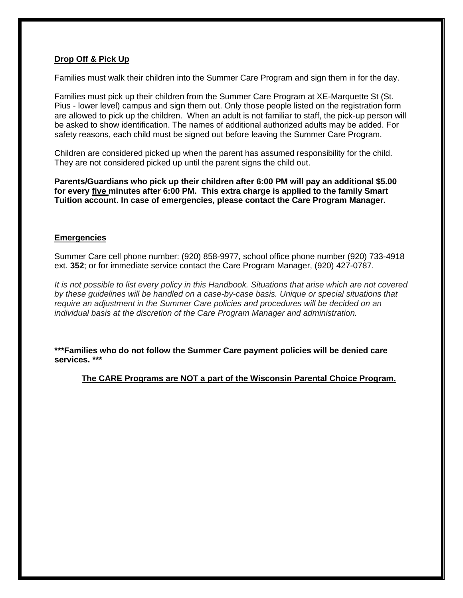### **Drop Off & Pick Up**

Families must walk their children into the Summer Care Program and sign them in for the day.

Families must pick up their children from the Summer Care Program at XE-Marquette St (St. Pius - lower level) campus and sign them out. Only those people listed on the registration form are allowed to pick up the children. When an adult is not familiar to staff, the pick-up person will be asked to show identification. The names of additional authorized adults may be added. For safety reasons, each child must be signed out before leaving the Summer Care Program.

Children are considered picked up when the parent has assumed responsibility for the child. They are not considered picked up until the parent signs the child out.

**Parents/Guardians who pick up their children after 6:00 PM will pay an additional \$5.00 for every five minutes after 6:00 PM. This extra charge is applied to the family Smart Tuition account. In case of emergencies, please contact the Care Program Manager.**

### **Emergencies**

Summer Care cell phone number: (920) 858-9977, school office phone number (920) 733-4918 ext. **352**; or for immediate service contact the Care Program Manager, (920) 427-0787.

*It is not possible to list every policy in this Handbook. Situations that arise which are not covered by these guidelines will be handled on a case-by-case basis. Unique or special situations that require an adjustment in the Summer Care policies and procedures will be decided on an individual basis at the discretion of the Care Program Manager and administration.*

**\*\*\*Families who do not follow the Summer Care payment policies will be denied care services. \*\*\***

 **The CARE Programs are NOT a part of the Wisconsin Parental Choice Program.**